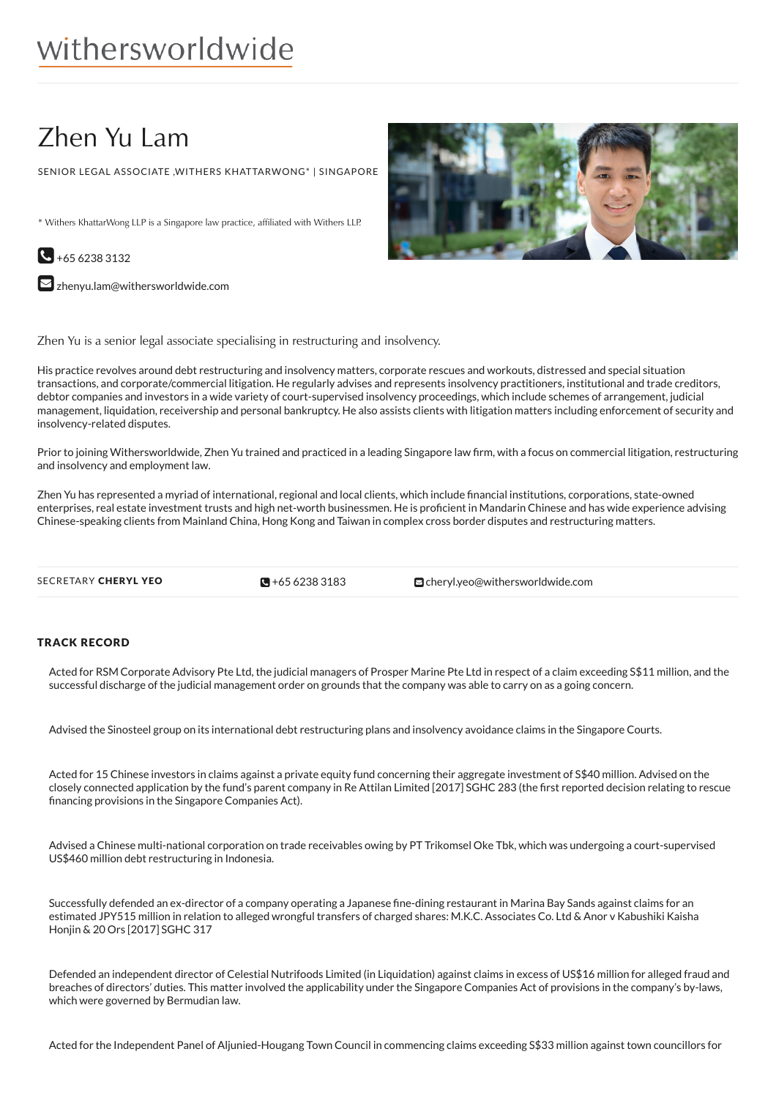# withersworldwide

# Zhen Yu Lam

SENIOR LEGAL ASSOCIATE ,WITHERS KHATTARWONG\* | SINGAPORE

\* Withers KhattarWong LLP is a Singapore law practice, affiliated with Withers LLP.



 $\square$  [zhenyu.lam@withersworldwide.com](mailto:zhenyu.lam@withersworldwide.com?subject=Website Enquiry - Profile Page)

Zhen Yu is a senior legal associate specialising in restructuring and insolvency.

His practice revolves around debt restructuring and insolvency matters, corporate rescues and workouts, distressed and special situation transactions, and corporate/commercial litigation. He regularly advises and represents insolvency practitioners, institutional and trade creditors, debtor companies and investors in a wide variety of court-supervised insolvency proceedings, which include schemes of arrangement, judicial management, liquidation, receivership and personal bankruptcy. He also assists clients with litigation matters including enforcement of security and insolvency-related disputes.

Prior to joining Withersworldwide, Zhen Yu trained and practiced in a leading Singapore law firm, with a focus on commercial litigation, restructuring and insolvency and employment law.

Zhen Yu has represented a myriad of international, regional and local clients, which include 1nancial institutions, corporations, state-owned enterprises, real estate investment trusts and high net-worth businessmen. He is proficient in Mandarin Chinese and has wide experience advising Chinese-speaking clients from Mainland China, Hong Kong and Taiwan in complex cross border disputes and restructuring matters.

 $\blacksquare$  +65 6238 3183

SECRETARY CHERYL YEO **+65 [6238](tel:+65 6238 3183) 3183** [cheryl.yeo@withersworldwide.com](mailto:cheryl.yeo@withersworldwide.com)

#### TRACK RECORD

Acted for RSM Corporate Advisory Pte Ltd, the judicial managers of Prosper Marine Pte Ltd in respect of a claim exceeding S\$11 million, and the successful discharge of the judicial management order on grounds that the company was able to carry on as a going concern.

Advised the Sinosteel group on its international debt restructuring plans and insolvency avoidance claims in the Singapore Courts.

Acted for 15 Chinese investors in claims against a private equity fund concerning their aggregate investment of S\$40 million. Advised on the closely connected application by the fund's parent company in Re Attilan Limited [2017] SGHC 283 (the 1rst reported decision relating to rescue financing provisions in the Singapore Companies Act).

Advised a Chinese multi-national corporation on trade receivables owing by PT Trikomsel Oke Tbk, which was undergoing a court-supervised US\$460 million debt restructuring in Indonesia.

Successfully defended an ex-director of a company operating a Japanese fine-dining restaurant in Marina Bay Sands against claims for an estimated JPY515 million in relation to alleged wrongful transfers of charged shares: M.K.C. Associates Co. Ltd & Anor v Kabushiki Kaisha Honjin & 20 Ors [2017] SGHC 317

Defended an independent director of Celestial Nutrifoods Limited (in Liquidation) against claims in excess of US\$16 million for alleged fraud and breaches of directors' duties. This matter involved the applicability under the Singapore Companies Act of provisions in the company's by-laws, which were governed by Bermudian law.

Acted for the Independent Panel of Aljunied-Hougang Town Council in commencing claims exceeding S\$33 million against town councillors for